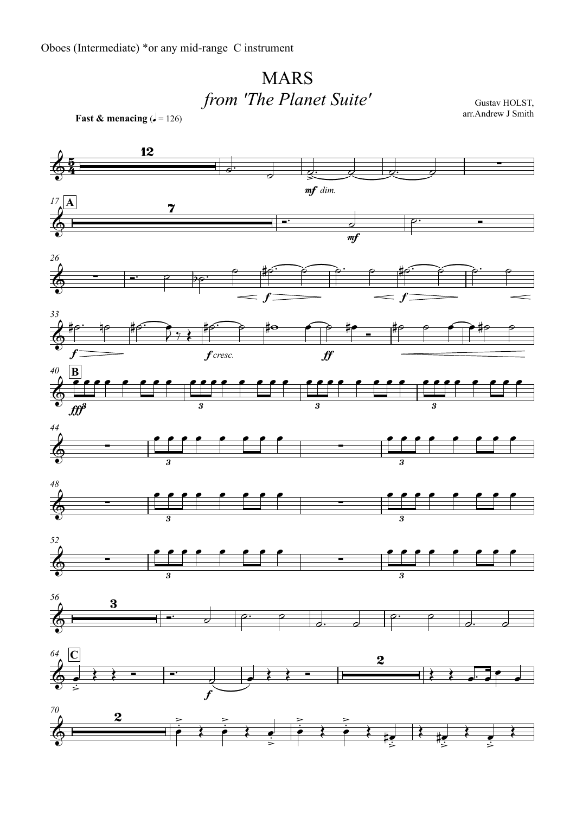## MARS*from 'The Planet Suite'*

**Fast & menacing**  $(1 = 126)$ 



Gustav HOLST, arr.Andrew J Smith